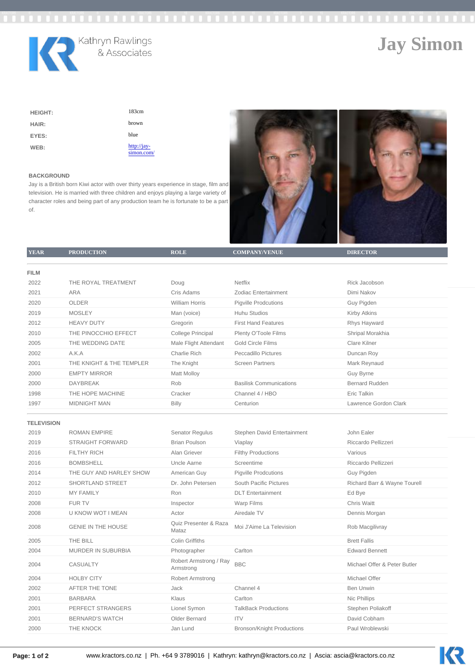# Jay Simon

| <b>HEIGHT:</b> | 183cm                     |
|----------------|---------------------------|
| HAIR:          | brown                     |
| EYES:          | blue                      |
| WEB:           | http://jay-<br>simon.com/ |

## BACKGROUND

Jay is a British born Kiwi actor with over thirty years experience in stage, film and television. He is married with three children and enjoys playing a large variety of character roles and being part of any production team he is fortunate to be a part of.

| <b>YEAR</b>       | <b>PRODUCTION</b>         | <b>ROLE</b>                         | COMPANY/VENUE                     | <b>DIRECTOR</b>              |
|-------------------|---------------------------|-------------------------------------|-----------------------------------|------------------------------|
|                   |                           |                                     |                                   |                              |
| <b>FILM</b>       |                           |                                     |                                   |                              |
| 2022              | THE ROYAL TREATMENT       | Doug                                | Netflix                           | Rick Jacobson                |
| 2021              | <b>ARA</b>                | Cris Adams                          | Zodiac Entertainment              | Dimi Nakov                   |
| 2020              | <b>OLDER</b>              | <b>William Horris</b>               | <b>Pigville Prodcutions</b>       | Guy Pigden                   |
| 2019              | <b>MOSLEY</b>             | Man (voice)                         | <b>Huhu Studios</b>               | <b>Kirby Atkins</b>          |
| 2012              | <b>HEAVY DUTY</b>         | Gregorin                            | <b>First Hand Features</b>        | Rhys Hayward                 |
| 2010              | THE PINOCCHIO EFFECT      | College Principal                   | Plenty O'Toole Films              | Shripal Morakhia             |
| 2005              | THE WEDDING DATE          | Male Flight Attendant               | <b>Gold Circle Films</b>          | Clare Kilner                 |
| 2002              | A.K.A                     | <b>Charlie Rich</b>                 | Peccadillo Pictures               | Duncan Roy                   |
| 2001              | THE KNIGHT & THE TEMPLER  | The Knight                          | <b>Screen Partners</b>            | Mark Reynaud                 |
| 2000              | <b>EMPTY MIRROR</b>       | <b>Matt Molloy</b>                  |                                   | Guy Byrne                    |
| 2000              | <b>DAYBREAK</b>           | Rob                                 | <b>Basilisk Communications</b>    | <b>Bernard Rudden</b>        |
| 1998              | THE HOPE MACHINE          | Cracker                             | Channel 4 / HBO                   | Eric Talkin                  |
| 1997              | <b>MIDNIGHT MAN</b>       | Billy                               | Centurion                         | Lawrence Gordon Clark        |
|                   |                           |                                     |                                   |                              |
| <b>TELEVISION</b> |                           |                                     |                                   |                              |
| 2019              | <b>ROMAN EMPIRE</b>       | Senator Regulus                     | Stephen David Entertainment       | John Ealer                   |
| 2019              | <b>STRAIGHT FORWARD</b>   | <b>Brian Poulson</b>                | Viaplay                           | Riccardo Pellizzeri          |
| 2016              | <b>FILTHY RICH</b>        | Alan Griever                        | <b>Filthy Productions</b>         | Various                      |
| 2016              | <b>BOMBSHELL</b>          | Uncle Aarne                         | Screentime                        | Riccardo Pellizzeri          |
| 2014              | THE GUY AND HARLEY SHOW   | American Guy                        | <b>Pigville Prodcutions</b>       | Guy Pigden                   |
| 2012              | <b>SHORTLAND STREET</b>   | Dr. John Petersen                   | <b>South Pacific Pictures</b>     | Richard Barr & Wayne Tourell |
| 2010              | <b>MY FAMILY</b>          | Ron                                 | <b>DLT</b> Entertainment          | Ed Bye                       |
| 2008              | <b>FUR TV</b>             | Inspector                           | <b>Warp Films</b>                 | Chris Waitt                  |
| 2008              | <b>U KNOW WOT I MEAN</b>  | Actor                               | Airedale TV                       | Dennis Morgan                |
| 2008              | <b>GENIE IN THE HOUSE</b> | Quiz Presenter & Raza<br>Mataz      | Moi J'Aime La Television          | Rob Macgilivray              |
| 2005              | THE BILL                  | Colin Griffiths                     |                                   | <b>Brett Fallis</b>          |
| 2004              | MURDER IN SUBURBIA        | Photographer                        | Carlton                           | <b>Edward Bennett</b>        |
| 2004              | <b>CASUALTY</b>           | Robert Armstrong / Ray<br>Armstrong | <b>BBC</b>                        | Michael Offer & Peter Butler |
| 2004              | <b>HOLBY CITY</b>         | Robert Armstrong                    |                                   | Michael Offer                |
| 2002              | AFTER THE TONE            | Jack                                | Channel 4                         | <b>Ben Unwin</b>             |
| 2001              | <b>BARBARA</b>            | Klaus                               | Carlton                           | Nic Phillips                 |
| 2001              | PERFECT STRANGERS         | Lionel Symon                        | <b>TalkBack Productions</b>       | Stephen Poliakoff            |
| 2001              | <b>BERNARD'S WATCH</b>    | Older Bernard                       | <b>ITV</b>                        | David Cobham                 |
| 2000              | THE KNOCK                 | Jan Lund                            | <b>Bronson/Knight Productions</b> | Paul Wroblewski              |
|                   |                           |                                     |                                   |                              |